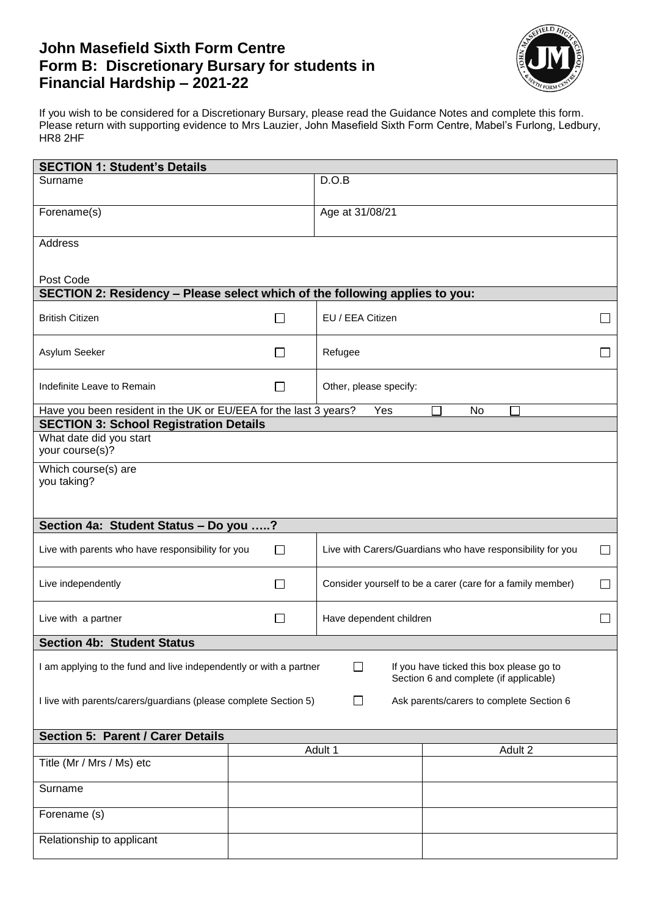# **John Masefield Sixth Form Centre Form B: Discretionary Bursary for students in Financial Hardship – 2021-22**



If you wish to be considered for a Discretionary Bursary, please read the Guidance Notes and complete this form. Please return with supporting evidence to Mrs Lauzier, John Masefield Sixth Form Centre, Mabel's Furlong, Ledbury, HR8 2HF

| <b>SECTION 1: Student's Details</b>                                                                                                                                |        |                                                            |        |    |         |        |
|--------------------------------------------------------------------------------------------------------------------------------------------------------------------|--------|------------------------------------------------------------|--------|----|---------|--------|
| Surname                                                                                                                                                            |        | D.O.B                                                      |        |    |         |        |
| Forename(s)                                                                                                                                                        |        | Age at 31/08/21                                            |        |    |         |        |
| <b>Address</b>                                                                                                                                                     |        |                                                            |        |    |         |        |
|                                                                                                                                                                    |        |                                                            |        |    |         |        |
| Post Code<br>SECTION 2: Residency - Please select which of the following applies to you:                                                                           |        |                                                            |        |    |         |        |
| <b>British Citizen</b>                                                                                                                                             | $\Box$ | EU / EEA Citizen                                           |        |    |         | $\Box$ |
| Asylum Seeker                                                                                                                                                      | $\Box$ | Refugee                                                    |        |    | $\Box$  |        |
| Indefinite Leave to Remain                                                                                                                                         | $\Box$ | Other, please specify:                                     |        |    |         |        |
| Have you been resident in the UK or EU/EEA for the last 3 years?                                                                                                   |        | Yes                                                        |        | No |         |        |
| <b>SECTION 3: School Registration Details</b><br>What date did you start                                                                                           |        |                                                            |        |    |         |        |
| your course(s)?                                                                                                                                                    |        |                                                            |        |    |         |        |
| Which course(s) are                                                                                                                                                |        |                                                            |        |    |         |        |
| you taking?                                                                                                                                                        |        |                                                            |        |    |         |        |
|                                                                                                                                                                    |        |                                                            |        |    |         |        |
| Section 4a: Student Status - Do you ?                                                                                                                              |        |                                                            |        |    |         |        |
| Live with parents who have responsibility for you<br>Live with Carers/Guardians who have responsibility for you<br>$\Box$                                          |        |                                                            | $\Box$ |    |         |        |
| Live independently                                                                                                                                                 | $\Box$ | Consider yourself to be a carer (care for a family member) |        |    | $\Box$  |        |
| Live with a partner                                                                                                                                                | П      | Have dependent children                                    |        |    | П       |        |
| <b>Section 4b: Student Status</b>                                                                                                                                  |        |                                                            |        |    |         |        |
| I am applying to the fund and live independently or with a partner<br>$\Box$<br>If you have ticked this box please go to<br>Section 6 and complete (if applicable) |        |                                                            |        |    |         |        |
| I live with parents/carers/guardians (please complete Section 5)<br>П<br>Ask parents/carers to complete Section 6                                                  |        |                                                            |        |    |         |        |
| <b>Section 5: Parent / Carer Details</b>                                                                                                                           |        |                                                            |        |    |         |        |
|                                                                                                                                                                    |        | Adult 1                                                    |        |    | Adult 2 |        |
| Title (Mr / Mrs / Ms) etc                                                                                                                                          |        |                                                            |        |    |         |        |
| Surname                                                                                                                                                            |        |                                                            |        |    |         |        |
| Forename (s)                                                                                                                                                       |        |                                                            |        |    |         |        |
| Relationship to applicant                                                                                                                                          |        |                                                            |        |    |         |        |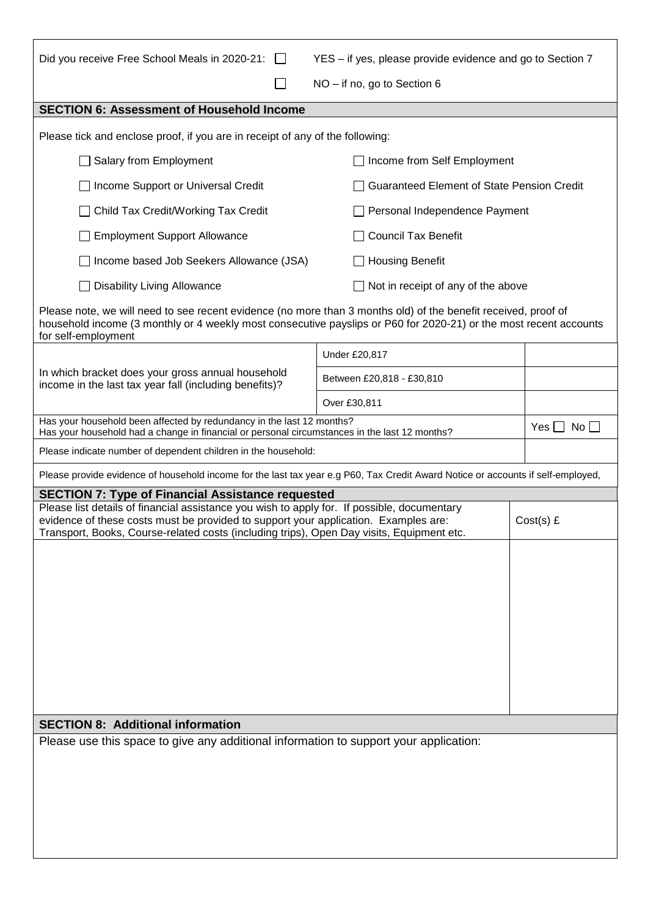| Did you receive Free School Meals in 2020-21: □<br>YES - if yes, please provide evidence and go to Section 7                                                                                                                                                                    |                                            |  |  |  |  |
|---------------------------------------------------------------------------------------------------------------------------------------------------------------------------------------------------------------------------------------------------------------------------------|--------------------------------------------|--|--|--|--|
| NO - if no, go to Section 6                                                                                                                                                                                                                                                     |                                            |  |  |  |  |
| <b>SECTION 6: Assessment of Household Income</b>                                                                                                                                                                                                                                |                                            |  |  |  |  |
| Please tick and enclose proof, if you are in receipt of any of the following:                                                                                                                                                                                                   |                                            |  |  |  |  |
| Salary from Employment                                                                                                                                                                                                                                                          |                                            |  |  |  |  |
| Income Support or Universal Credit                                                                                                                                                                                                                                              | Guaranteed Element of State Pension Credit |  |  |  |  |
| Child Tax Credit/Working Tax Credit                                                                                                                                                                                                                                             | Personal Independence Payment              |  |  |  |  |
| <b>Employment Support Allowance</b>                                                                                                                                                                                                                                             |                                            |  |  |  |  |
| Income based Job Seekers Allowance (JSA)                                                                                                                                                                                                                                        | <b>Housing Benefit</b>                     |  |  |  |  |
| <b>Disability Living Allowance</b>                                                                                                                                                                                                                                              | Not in receipt of any of the above         |  |  |  |  |
| Please note, we will need to see recent evidence (no more than 3 months old) of the benefit received, proof of<br>household income (3 monthly or 4 weekly most consecutive payslips or P60 for 2020-21) or the most recent accounts<br>for self-employment                      |                                            |  |  |  |  |
|                                                                                                                                                                                                                                                                                 | Under £20,817                              |  |  |  |  |
| In which bracket does your gross annual household<br>income in the last tax year fall (including benefits)?                                                                                                                                                                     | Between £20,818 - £30,810                  |  |  |  |  |
|                                                                                                                                                                                                                                                                                 | Over £30,811                               |  |  |  |  |
| Has your household been affected by redundancy in the last 12 months?<br>Has your household had a change in financial or personal circumstances in the last 12 months?                                                                                                          | $No$ $\Box$<br>$Yes \Box$                  |  |  |  |  |
| Please indicate number of dependent children in the household:                                                                                                                                                                                                                  |                                            |  |  |  |  |
| Please provide evidence of household income for the last tax year e.g P60, Tax Credit Award Notice or accounts if self-employed,                                                                                                                                                |                                            |  |  |  |  |
| <b>SECTION 7: Type of Financial Assistance requested</b>                                                                                                                                                                                                                        |                                            |  |  |  |  |
| Please list details of financial assistance you wish to apply for. If possible, documentary<br>evidence of these costs must be provided to support your application. Examples are:<br>Transport, Books, Course-related costs (including trips), Open Day visits, Equipment etc. | $Cost(s)$ £                                |  |  |  |  |
|                                                                                                                                                                                                                                                                                 |                                            |  |  |  |  |
|                                                                                                                                                                                                                                                                                 |                                            |  |  |  |  |
|                                                                                                                                                                                                                                                                                 |                                            |  |  |  |  |
|                                                                                                                                                                                                                                                                                 |                                            |  |  |  |  |
|                                                                                                                                                                                                                                                                                 |                                            |  |  |  |  |
|                                                                                                                                                                                                                                                                                 |                                            |  |  |  |  |
|                                                                                                                                                                                                                                                                                 |                                            |  |  |  |  |
|                                                                                                                                                                                                                                                                                 |                                            |  |  |  |  |
| <b>SECTION 8: Additional information</b>                                                                                                                                                                                                                                        |                                            |  |  |  |  |
| Please use this space to give any additional information to support your application:                                                                                                                                                                                           |                                            |  |  |  |  |
|                                                                                                                                                                                                                                                                                 |                                            |  |  |  |  |
|                                                                                                                                                                                                                                                                                 |                                            |  |  |  |  |
|                                                                                                                                                                                                                                                                                 |                                            |  |  |  |  |
|                                                                                                                                                                                                                                                                                 |                                            |  |  |  |  |